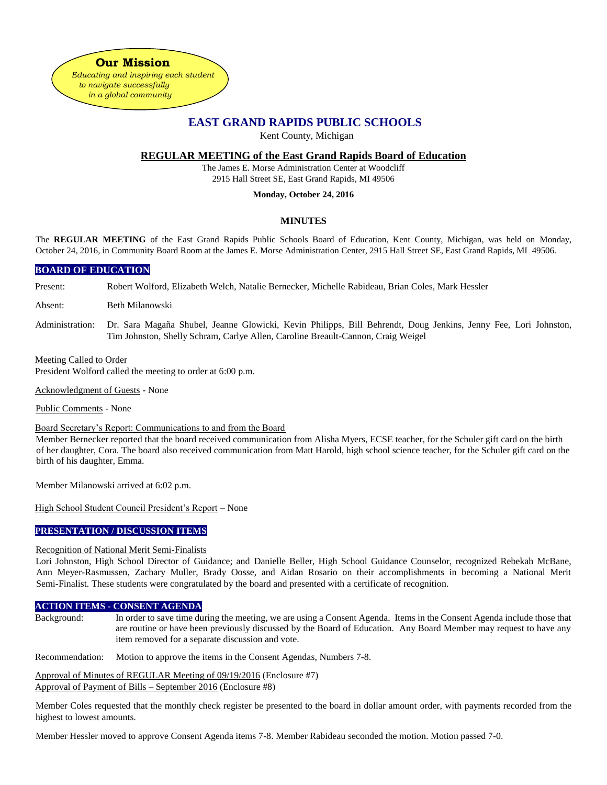**Our Mission** 

*Educating and inspiring each student to navigate successfully in a global community*

# **EAST GRAND RAPIDS PUBLIC SCHOOLS**

Kent County, Michigan

## **REGULAR MEETING of the East Grand Rapids Board of Education**

The James E. Morse Administration Center at Woodcliff 2915 Hall Street SE, East Grand Rapids, MI 49506

#### **Monday, October 24, 2016**

### **MINUTES**

The **REGULAR MEETING** of the East Grand Rapids Public Schools Board of Education, Kent County, Michigan, was held on Monday, October 24, 2016, in Community Board Room at the James E. Morse Administration Center, 2915 Hall Street SE, East Grand Rapids, MI 49506.

#### **BOARD OF EDUCATION**

Present: Robert Wolford, Elizabeth Welch, Natalie Bernecker, Michelle Rabideau, Brian Coles, Mark Hessler

Absent: Beth Milanowski

Administration: Dr. Sara Magaña Shubel, Jeanne Glowicki, Kevin Philipps, Bill Behrendt, Doug Jenkins, Jenny Fee, Lori Johnston, Tim Johnston, Shelly Schram, Carlye Allen, Caroline Breault-Cannon, Craig Weigel

#### Meeting Called to Order

President Wolford called the meeting to order at 6:00 p.m.

Acknowledgment of Guests - None

Public Comments - None

#### Board Secretary's Report: Communications to and from the Board

Member Bernecker reported that the board received communication from Alisha Myers, ECSE teacher, for the Schuler gift card on the birth of her daughter, Cora. The board also received communication from Matt Harold, high school science teacher, for the Schuler gift card on the birth of his daughter, Emma.

Member Milanowski arrived at 6:02 p.m.

High School Student Council President's Report – None

#### **PRESENTATION / DISCUSSION ITEMS**

#### Recognition of National Merit Semi-Finalists

Lori Johnston, High School Director of Guidance; and Danielle Beller, High School Guidance Counselor, recognized Rebekah McBane, Ann Meyer-Rasmussen, Zachary Muller, Brady Oosse, and Aidan Rosario on their accomplishments in becoming a National Merit Semi-Finalist. These students were congratulated by the board and presented with a certificate of recognition.

#### **ACTION ITEMS - CONSENT AGENDA**

Background: In order to save time during the meeting, we are using a Consent Agenda. Items in the Consent Agenda include those that are routine or have been previously discussed by the Board of Education. Any Board Member may request to have any item removed for a separate discussion and vote.

Recommendation: Motion to approve the items in the Consent Agendas, Numbers 7-8.

Approval of Minutes of REGULAR Meeting of 09/19/2016 (Enclosure #7) Approval of Payment of Bills – September 2016 (Enclosure #8)

Member Coles requested that the monthly check register be presented to the board in dollar amount order, with payments recorded from the highest to lowest amounts.

Member Hessler moved to approve Consent Agenda items 7-8. Member Rabideau seconded the motion. Motion passed 7-0.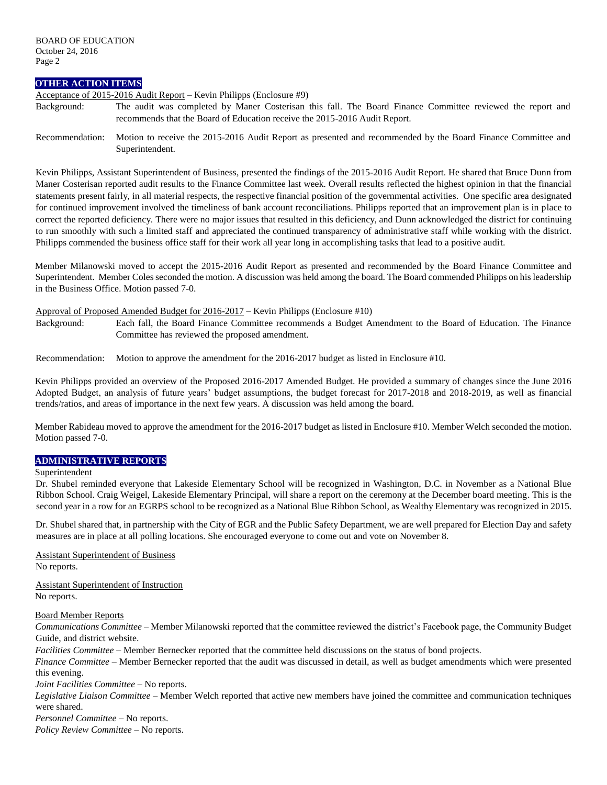#### **OTHER ACTION ITEMS**

Acceptance of 2015-2016 Audit Report – Kevin Philipps (Enclosure #9)

- Background: The audit was completed by Maner Costerisan this fall. The Board Finance Committee reviewed the report and recommends that the Board of Education receive the 2015-2016 Audit Report.
- Recommendation: Motion to receive the 2015-2016 Audit Report as presented and recommended by the Board Finance Committee and Superintendent.

Kevin Philipps, Assistant Superintendent of Business, presented the findings of the 2015-2016 Audit Report. He shared that Bruce Dunn from Maner Costerisan reported audit results to the Finance Committee last week. Overall results reflected the highest opinion in that the financial statements present fairly, in all material respects, the respective financial position of the governmental activities. One specific area designated for continued improvement involved the timeliness of bank account reconciliations. Philipps reported that an improvement plan is in place to correct the reported deficiency. There were no major issues that resulted in this deficiency, and Dunn acknowledged the district for continuing to run smoothly with such a limited staff and appreciated the continued transparency of administrative staff while working with the district. Philipps commended the business office staff for their work all year long in accomplishing tasks that lead to a positive audit.

Member Milanowski moved to accept the 2015-2016 Audit Report as presented and recommended by the Board Finance Committee and Superintendent. Member Coles seconded the motion. A discussion was held among the board. The Board commended Philipps on his leadership in the Business Office. Motion passed 7-0.

#### Approval of Proposed Amended Budget for 2016-2017 – Kevin Philipps (Enclosure #10)

Background: Each fall, the Board Finance Committee recommends a Budget Amendment to the Board of Education. The Finance Committee has reviewed the proposed amendment.

Recommendation: Motion to approve the amendment for the 2016-2017 budget as listed in Enclosure #10.

Kevin Philipps provided an overview of the Proposed 2016-2017 Amended Budget. He provided a summary of changes since the June 2016 Adopted Budget, an analysis of future years' budget assumptions, the budget forecast for 2017-2018 and 2018-2019, as well as financial trends/ratios, and areas of importance in the next few years. A discussion was held among the board.

Member Rabideau moved to approve the amendment for the 2016-2017 budget as listed in Enclosure #10. Member Welch seconded the motion. Motion passed 7-0.

### **ADMINISTRATIVE REPORTS**

#### Superintendent

Dr. Shubel reminded everyone that Lakeside Elementary School will be recognized in Washington, D.C. in November as a National Blue Ribbon School. Craig Weigel, Lakeside Elementary Principal, will share a report on the ceremony at the December board meeting. This is the second year in a row for an EGRPS school to be recognized as a National Blue Ribbon School, as Wealthy Elementary was recognized in 2015.

Dr. Shubel shared that, in partnership with the City of EGR and the Public Safety Department, we are well prepared for Election Day and safety measures are in place at all polling locations. She encouraged everyone to come out and vote on November 8.

Assistant Superintendent of Business No reports.

Assistant Superintendent of Instruction No reports.

#### Board Member Reports

*Communications Committee –* Member Milanowski reported that the committee reviewed the district's Facebook page, the Community Budget Guide, and district website.

*Facilities Committee –* Member Bernecker reported that the committee held discussions on the status of bond projects.

*Finance Committee –* Member Bernecker reported that the audit was discussed in detail, as well as budget amendments which were presented this evening.

*Joint Facilities Committee –* No reports.

*Legislative Liaison Committee* – Member Welch reported that active new members have joined the committee and communication techniques were shared.

*Personnel Committee –* No reports.

*Policy Review Committee –* No reports.